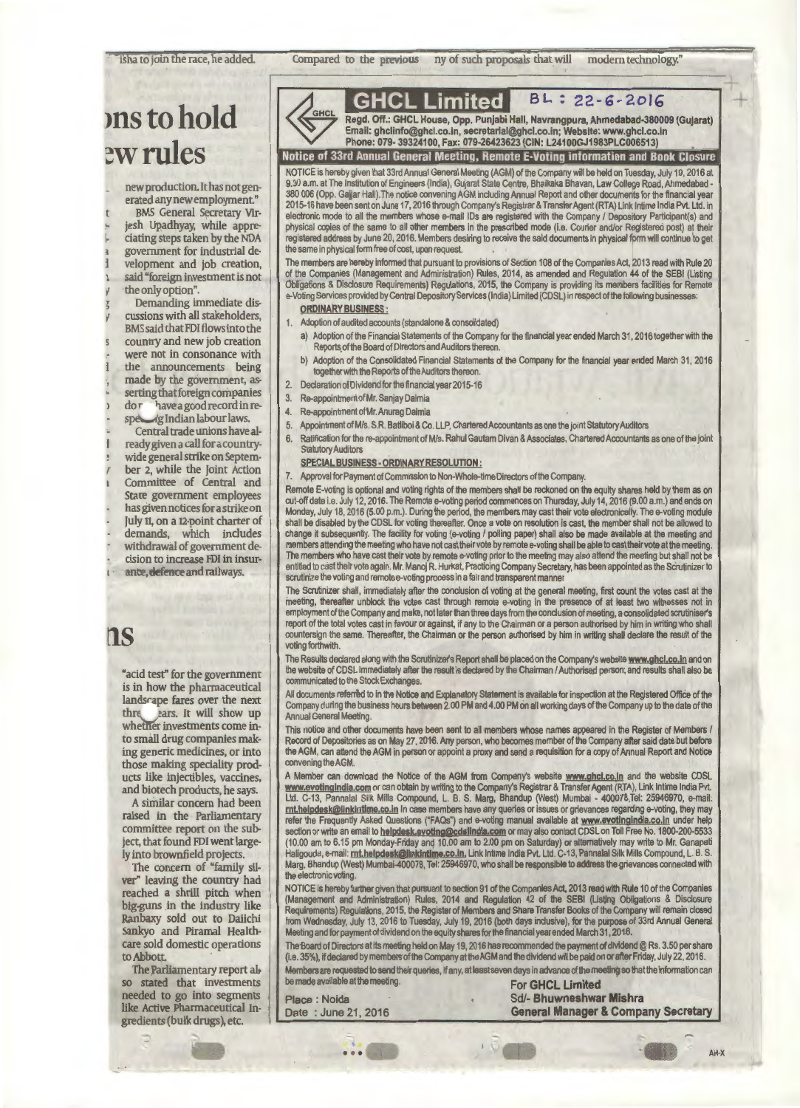isha to join the race, he added.

Compared to the previous ny of such proposals that will modern technology."

# **>nstohold**  ew rules

new production. It has not generated any new employment."

BMS General Secretary Virjesh Upadhyay, while appreciating steps taken by the NDA government for industrial development and job creation, said "foreign investment is not the only option".

Demanding immediate discussions with all stakeholders, BMS said that FDI flows into the country and new job creation were not in consonance with the announcements being made by the government, asserting that foreign companies<br>do r have a good record in redor have a good record in re-<br>specific diam labour laws. lg Indian labour laws.

Central trade unions have already given a call for a countrywide general strike on September 2, while the Joint Action Committee of Central and State government employees has given notices for a strike on July 11, on a 12-point charter of demands, which includes withdrawal of government decision to increase FD! in insurance, defence and railways.

### ns

"acid test" for the government is in how the pharmaceutical landsrape fares over the next thre *jears*. It will show up whether investments come into small drug companies making generic medicines, or into those making speciality products like injectibles, vaccines, and biotech products, he says.

A similar concern had been raised in the Parliamentary committee report on the subject, that found FD! went largely into brownfield projects.

The concern of "family silver" leaving the country had reached a shrill pitch when big-guns in the industry like Ranbaxy sold out to Daiichi Sankyo and Piramal Healthcare sold domestic operations to Abbott.

The Parliamentary report also stated that investments needed to go into segments like Active Pharmaceutical Ingredients (bulk drugs), etc.

| <b>GHCL</b> | R٥ |
|-------------|----|
|             |    |

**GHCL Limited BL: 22-6-2016** gd. Off.: GHCL House, Opp. Punjabi Hall, Navrangpura, Ahmedabad-380009 (Gujarat) mail: ghclinfo@ghcl.co.in, secretarial@ghcl.co.in; Website: www.ghcl.co.in Phone:079-39324100,Fax:079-26423623(CIN:L24100GJ1983PLC006513) Notice of 33rd Annual General Meeting, Remote E-Voting information and Book Closure

NOTICE is hereby given that 33rd Annual General Meeting (AGM) of the Company will be held on Tuesday, July 19, 2016 at 9.30 a.m. at The Institution of Engineers (India), Gujarat State Centre, Bhaikaka Bhavan, Law College Road, Ahmadabad - 380 006 (Opp. Gajjar Hall). The notice convening AGM including Annual Report and other documents for the financial 2015-16 have been sent on June 17, 2016 through Company's Registrar & Transfer Agent(RTA) Link lntime India Pvt. Ltd. in electronic mode to all the members whose e-mail IDs are registered with the Company / Depository Participant(s) and physical copies of the same to all other members in the prescribed mode (i.e. Courier and/or Registered post) at their registered address by June 20, 2016. Members desiring to receive the said documents in physical fonm will continue to get the same in physical fonm free of cost, upon request.

The members are hereby infonmed that pursuant to provisions of Section 108 of the Companies Act, 2013 read with Rule 20 of the Companies (Management and Administration) Rules, 2014, as amended and Regulation 44 of the SEBI (Listing Obligations & Disclosure Requirements) Regulations, 2015, the Company is providing its members facilities for Remote e-Voting Services provided by Central Depository Services (India) Limited (CDSL) in respect of the following busine

#### ORDINARY BUSINESS:

- 1. Adoption of audited accounts (standalone & consolidated)
	- Adoption of the Financial Statements of the Company for the financial year ended March 31, 2016 together with the Reports of the Board of Directors and Auditors thereon.
	- b) Adoption of the Consolidated Financial Statements of the Company for the financial year ended March 31, 2016 together with the Reports of the Auditors thereon.
- 2. Declaration of Dividend for the financial year 2015-16
- 3. Re-appointment of Mr. Sanjay Dalmia
- 4. Re-appointment of Mr. Anurag Dalmia
- 5. Appointment of Mis. S.R. Batliboi & Co. LLP, Chartered Accountants as one the joint Statutory Auditors
- 6. Ratification for the re-appointment of Mis. Rahul Gautam Divan & Associates, Chartered Accountants as one of the joint Statutory Auditors

#### SPECIAL BUSINESS· ORDINARY RESOLUTION :

7. Approval for Payment of Commission to Non-Whole-time Directors of the Company.

Remote E-voting is optional and voting rights of the members shall be reckoned on the equity shares held by them as on cut-off date i.e. July 12, 2016. The Remote e-voting period commences on Thursday, July 14, 2016 (9.00 a.m.) and ends on Monday, July 18, 2016 (5.00 p.m.). During the period, the members may cast their vote electronically. The e-voting module shall be disabled by the CDSL for voting thereafter. Once a vote on resolution is cast, the member shall not be allowed to change it subsequently. The facility for voting (e-voting / polling paper) shall also be made available at the meeting and members attending the meeting who have not cast their vote by remote a-voting shall be able to cast their vote at the meeting. The members who have cast their vote by remote e-voting prior to the meeting may also attend the meeting but shall not be entitled to cast their vote again. Mr. Manoj R. Hurkat, Practicing Company Secretary, has been appointed as the Scrutinizer to scrutinize the voting and remote e-voting process in a fair and transparent manner.

The Scrutinizer shall, immediately after the conclusion of voting at the general meeting, first count the votes cast at the meeting, thereafter unblock the votes cast through remote e-voting in the presence of at least two witnesses not in employment of the Company and make, not later than three days from the conclusion of meeting, a consolidated scrutiniser's report of the total votes cast in favour or against, if *any* to the Chainman or a person authorised by him in writing who shall countersign the same. Thereafter, the Chainman or the person authorised by him in writing shall declare the result of the voting forthwith.

The Results declared along with the Scrutinizer's Report shall be placed on the Company's website <u>www.ghcl.co.in</u> and on<br>the website of CDSL immediately after the result is declared by the Chairman / Authorised person; an communicated to the Stock Exchanges.

All documents referred to in the Notice and Explanatory Statement is available for inspection at the Registered Office of the<br>Company during the business hours between 2.00 PM and 4.00 PM on all working days of the Company Annual General Meeting.

This notice and other documents have been sent to all members whose names appeared in the Register of Members *i*  Record of Depositories as on May 27, 2016. Any person, who becomes member of the Company after said date but before<br>the AGM, can attend the AGM in person or appoint a proxy and send a requisition for a copy of Annual Repor convening the AGM.

A Member can download the Notice of the AGM from Company's website www.ghcl.co.in and the website CDSL www.evotinqindia.com or can obtain by writing to the Company's Registrar & Transfer Agent (RTA), Link lntime India Pvt. Ltd. C-13, Pannalal Silk Mills Compound, L. B. S. Marg, Bhandup (West) Mumbai - 400078,Tel: 25946970, e-mail: rnt.helpdesk@linkintlme.co.in In case members have any queries or issues or grievances regarding e-voting, they may refer the Frequently Asked Questions ("FAQs") and e-voting manual available at www.evotingindla.co.in under help section or write an email to helpdesk.evoting@cdslindia.com or may also contact CDSL on Toll Free No. 1800-200-5533 (10.00 am to 6.15 pm Monday-Friday and 10.00 am to 2.00 pm on Saturday) or alternatively may write to Mr. Ganapati<br>Haligouda, e-mail: <u>rnt.helpdesk@linkintime.co.in,</u> Link Intime India Pvt. Ltd. C-13, Pannalal Silk Mills C Marg, Bhandup (West) Mumbai-400078, Tel: 25946970, who shall be responsible to address the grievances connected with the electronic voting.

NOTICE is hereby further given that pursuant to section 91 of the Companies Act, 2013 read with Rule 10 of the Companies<br>(Management and Administration) Rules, 2014 and Regulation 42 of the SEBI (Listing Obliga Requirements) Regulations, 2015, the Register of Members and Share Transfer Books of the Company will remain closed from Wednesday, July 13, 2016 to Tuesday, July 19, 2016 (both days inclusive), for the purpose of 33rd Annual General Meeting and for payment of dividend on the equity shares for the financial year ended March 31, 2018.

The Board of Directors at its meeting held on May 19, 2016 has recommended the payment of dividend @ Rs. 3.50 per share (i.e. 35%), if declared by members of the Company attheAGM and the dividend will be paid on or after Friday, July 22, 2016. Members are requested to send their queries, if any, at least seven days in advance of the meeting so that the infonmation can be made available at the meeting. For GHCL Limited

Place : Noida Sd/- Bhuwneshwar Mishra Date : June 21, 2016 General Manager & Company Secretary For GHCL Limited<br>
1a<br>
21, 2016 **Ceneral Manager & Company Secretary**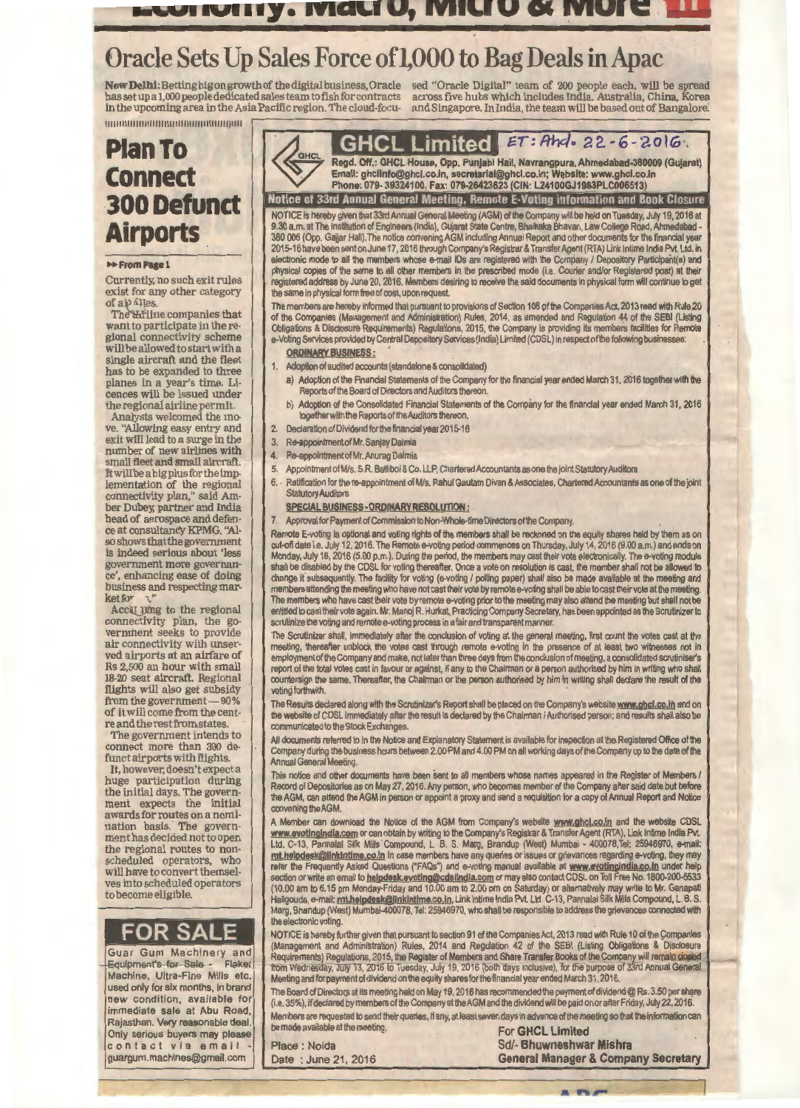### **Etuitulity. Midtry, Mitro & Mule. The**

# Oracle Sets Up Sales Force of l,000 to Bag Deals in Apac

**New Delhi:** Betting bigon growth of the digital business, Oracle sed "Oracle Digital" team of 200 people each, will be spread<br>has setup a 1,000 people dedicated sales team to fish for contracts across five hubs which incl in the upcoming area in the Asia Pacific region. The cloud-focu- and Singapore. In India, the team will be based out of Bangalore.

## **Plan To Connect 300 Defunct Airports**

1111111111111111111111111111111111111111111111111

#### **H**-From Page 1

Currently, no such exit rules exist for any other category<br>of ai $\rho$   $\Lambda$ les.

The *H*iline companies that<br>want to participate in the regional connectivity scheme<br>will be allowed to start with a single aircraft and the fleet has to be expanded to three<br>planes in a year's time. Licences will be issued under

the regional airline permit. ve. "Allowing easy entry and exit will lead to a surge in the number of new airlines with<br>small fleet and small aircraft. small fleet and small aircraft. Itwillbeabigplusfortheimp· lementation of the regional connectivity plan," said Am· ber Dubey; partner and India head of aerospace and defen-<br>ce at consultancy KPMG. "Also shows that the government is indeed serious about 'less government more governance', enhancing ease of doing business and respecting mar- ket *for* ."

Acculing to the regional connectivity plan, the government seeks to provide air connectivity with unser- ved airports at an airfare of Rs 2,500 an hour with small 18-20 seat aircraft. Regional flights will also get subsidy from the government  $- 80\%$ <br>of it will come from the centre and the rest from states.<br>The government intends to

connect more than 300 de-<br>funct airports with flights.

It, however, doesn't expect a<br>huge participation during the initial days. The government expects the initial awards for routes on a nomination basis. The government has decided not to open the regional routes to non-<br>scheduled operators, who<br>will have to convert themselves into scheduled operators to become eligible.

## **FOR SALE**

Guar Gum Machinery and<br>Equipment's for Sale - Flaker Equipment's for Sale Machine, Ultra-Fine Mills etc. used only for six months, in brand new condition, available for immediate sale at Abu Road, Rajasthan. Very reasonable deal. Only serious buyers may please contact via email guargum.machines@gmail.com



**GHCL Limited** *ET: Ahd.* 22-6-2016.

Email: ghcllnfo@ghcl.co.ln, secretarlal@ghcl.co.ln; W11bslte: www.ghcl.co.ln Phone: 079· 39324100, Fax: 079-26423623 (CIN: L24100GJ1983PLC006513)

Notice of 33rd Annual General Meeting, Remote E-Voting information and Book Closure NOTICE is hereby given that 33rd Annual General Meeting (AGM) of the Company will be held on Tuesday, July 19, 2016 at 9.30 a.m. at The Institution of Engineers (India), Gujarat State Centre, Bhaikaka Bhavan, Law College Road, Ahmadabad - 380 006 (Opp. Gajjar Hall}. The notice convening AGM including Annual Report and other documents for the financial year 2015-16 have been sent on June 17, 2016 through Company's Registrar & Transfer Agent (RTA) Link lntime India Pvt. Ltd. in electronic mode to all the members whose e-mail IDs are registered with the Company / Depository Participant(s) and<br>physical copies of the same to all other members in the prescribed mode (i.e. Courier and/or Registered po physical copies of the same to all other members in the prescribed mode (i.e. Courier and/or Regist registered address by June 20, 2016. Members desiring to receive the said documents in physical form will continue to get the same in physical form free of cost, upon request.

The members are hereby informed that pursuant to provisions of Section 108 9f the Companies Act, 2013 read with Rule20 of the Companies (Management and Administration) Rules, 2014, as amended and Regulation 44 of the SEBI (Listing Obligations & Disclosure Requirements) Regulations, 2015, the Company is providing its members facilities for Remote e-Voting Services provided by Central Depository Services (India) Limited (CDSL) in respect of the following busin

#### ORDINARY BUSINESS:

- 1. Adoption of audited accounts (standalone & consolidated)
- a) Adoption of the Financial Statements of the Company for the financial year ended March 31, 2016 together with the Reports of the Board of Directors and Auditors thereon.
- b) Adoption of the Consolidated Financial Statements of the Company for the financial year ended March 31, 2016 together with the Reports of the Auditors thereon.
- 2. Declaration of Dividend for the financial year 2015-16
- 3. Re-appointment of Mr. Sanjay Dalmia
- 4. Re-appointment of Mr. Anurag Dalmia
- 5. Appointment of M/s. S.R. Batliboi & Co. LLP, Chartered Accountants as one the joint Statutory Auditors
- 6. Ratification for the re-appointment of M/s. Rahul Gautam Divan & Associates, Chartered Accountants as one of the joint Statutory Auditors

#### SPECIAL BUSINESS· ORDINARY RESOLUTION :

7. Approval for Payment of Commission to Non-Whole-time Directors of the Company.

Remote E-voting is optional and voting rights of the members shall be reckoned on the equity shares held by them as on cut-off date i.e. July 12, 2016. The Remote e-voting period commences on Thursday, July 14, 2016 (9.00 a.m.) and ends on Monday, July 18, 2016 (5.00 p.m.). During the period, the members may cast their vote electronically. The e-voting module shall be disabled by the CDSL for voting thereafter. Once a vote on resolution is cast, the member shall not be allowed to change it subsequently. The facility for voting (e-voting / polling paper) shall also be made available at the meeting and members attending the meeting who have not cast their vote by remote e-voting shall be able to cast their vote at the mee The members who have cast their vote by remote e-voting prior to the meeting may also attend the meeting but shall not be entitled to cast their vote again. Mr. Manoj R. Hurkat, Practicing Company Secretary, has been appointed as the Scrutinizer to scrutinize the voting and remote e-voting process in a fair and transparent manner

The Scrutinizer shall, immediately after the conclusion of voting at the general meeting, first count the votes cast at the meeting, thereafter unblock the votes cast through remote e-voting in the presence of at least two witnesses not in employment of the Company and make, not later than three days from the conclusion of meeting, a consolidated scrutiniser's report of the total votes cast in favour or against, if any to the Chairman or a person authorised by him in writing who shall countersign the same. Thereafter, the Chairman or the person authorised by him in writing shall declare the result of the voting forthwith.

The Results declared along with the Scrutinizer's Report shall be placed on the Company's website <u>www.ghcl.co.in</u> and on<br>the website of CDSL immediately after the result is declared by the Chairman / Authorised person; an communicated to the Stock Exchanges.

All documents referred to in the Notice and Explanatory Statement is available for inspection at the-Registered Office of the Company during the business hours between 2.00 PM and 4.00 PM on all working days of the Company up to the date of the **Annual General Meeting.** 

This notice and other documents have been sent to all members whose names appeared in the Register of Members I Record of Depositories as on May 27, 2016. Any person, who becomes member of the Company after said date but before the AGM, can attend the AGM in person or appoint a proxy and send a requisition for a copy of Annual Report and Notice convening the AGM

A Member can download the Notice of the AGM from Company's website www.ghcl.co.in and the website CDSL www.evotlnglndla.com or can obtain by writing to the Company's Registrar & Transfer Agent (RTA), Link lntime India Pvt. Ltd. C-13, Pannalal Silk Mills Compound, L. B. S. Marg, Bhandup (West) Mumbai - 400078,Tel: 25946970, e-mail: **mt.helpdesk@linkintime.co.in** In case members have any queries or issues or grievances regarding e-voting, they may refer the Frequently Asked Questions ("FAQs") and e-voting manual available at www.evotingindia.co.in under help section or write an email to <u>helpdesk.evoting@cdslindia.com</u> or may also contact CDSL on Toll Free No. 1800-200-5533 (10.00 am to 6.15 pm Monday-Friday and 10.00 am to 2.00 pm on Saturday) or alternatively may write to Mr. Ganapati Haligouda, e-mail: mt.helpdesk@linkintime.co.in, Link Intime India Pvt. Ltd. C-13, Pannalal Silk Mills Compound, L. B. S. Marg, Bhandup (West) Mumbai-400078, Tel: 25946970, who shall be responsible to address the grievances connected with the electronic voting.

NOTICE is hereby further given that pursuant to section 91 of the Companies Act, 2013 read with Rule 10 of the Companies (Management and Administration) Rules, 2014 and Regulation 42 of the SEBI (Listing Obligations & Disclosure Requirements) Regulations, 2015, the Register of Members and Share Transfer Books of the Company will remain closed<br>from Wednesday, July 13, 2016 to Tuesday, July 19, 2016 (both days inclusive), for the purpose of 33rd Ann Meeting and for payment of dividend on the equity shares for the financial year ended March 31 , 2016.

The Board of Directors at its meeting held on May 19, 2016 has recommended the payment of dividend @ Rs. 3.50 per share (i.e. 35%), if declared by members of the Company at theAGM and the dividend will be paid on or after Friday, July 22, 2016. Members are requested to send their queries, if any, at least seven days in advance of the meeting so that the information can<br>be made available at the meeting.

**For GHCL Limited** Place : Noida Sd/- Bhuwneshwar Mishra Date : June 21, 2016 General Manager & Company Secretary

 $P$